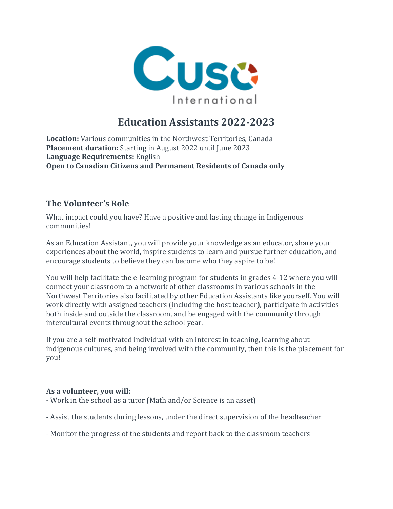

# **Education Assistants 2022-2023**

**Location:** Various communities in the Northwest Territories, Canada **Placement duration:** Starting in August 2022 until June 2023 **Language Requirements:** English **Open to Canadian Citizens and Permanent Residents of Canada only**

### **The Volunteer's Role**

What impact could you have? Have a positive and lasting change in Indigenous communities!

As an Education Assistant, you will provide your knowledge as an educator, share your experiences about the world, inspire students to learn and pursue further education, and encourage students to believe they can become who they aspire to be!

You will help facilitate the e-learning program for students in grades 4-12 where you will connect your classroom to a network of other classrooms in various schools in the Northwest Territories also facilitated by other Education Assistants like yourself. You will work directly with assigned teachers (including the host teacher), participate in activities both inside and outside the classroom, and be engaged with the community through intercultural events throughout the school year.

If you are a self-motivated individual with an interest in teaching, learning about indigenous cultures, and being involved with the community, then this is the placement for you!

#### **As a volunteer, you will:**

- Work in the school as a tutor (Math and/or Science is an asset)
- Assist the students during lessons, under the direct supervision of the headteacher
- Monitor the progress of the students and report back to the classroom teachers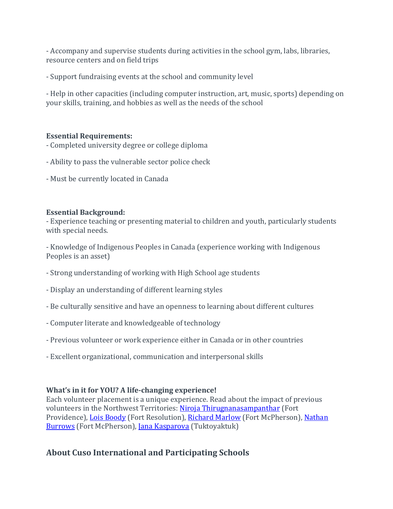- Accompany and supervise students during activities in the school gym, labs, libraries, resource centers and on field trips

- Support fundraising events at the school and community level

- Help in other capacities (including computer instruction, art, music, sports) depending on your skills, training, and hobbies as well as the needs of the school

#### **Essential Requirements:**

- Completed university degree or college diploma
- Ability to pass the vulnerable sector police check
- Must be currently located in Canada

#### **Essential Background:**

- Experience teaching or presenting material to children and youth, particularly students with special needs.

- Knowledge of Indigenous Peoples in Canada (experience working with Indigenous Peoples is an asset)

- Strong understanding of working with High School age students
- Display an understanding of different learning styles
- Be culturally sensitive and have an openness to learning about different cultures
- Computer literate and knowledgeable of technology
- Previous volunteer or work experience either in Canada or in other countries
- Excellent organizational, communication and interpersonal skills

#### **What's in it for YOU? A life-changing experience!**

Each volunteer placement is a unique experience. Read about the impact of previous volunteers in the Northwest Territories: Niroja [Thirugnanasampanthar](https://apply.cusointernational.org/stories/niroja-qa/) (Fort Providence), Lois [Boody](https://apply.cusointernational.org/stories/qa-lois-boody/) (Fort Resolution), [Richard](https://apply.cusointernational.org/news/cuso-volunteer-on-abc-radio-brisbane/) Marlow (Fort McPherson), [Nathan](https://apply.cusointernational.org/story/the-drive-to-succeed-supporting-students-in-the-northwest-territories/) [Burrows](https://apply.cusointernational.org/story/the-drive-to-succeed-supporting-students-in-the-northwest-territories/) (Fort McPherson), Jana [Kasparova](https://apply.cusointernational.org/story/volunteering-northern-canada/) (Tuktoyaktuk)

## **About Cuso International and Participating Schools**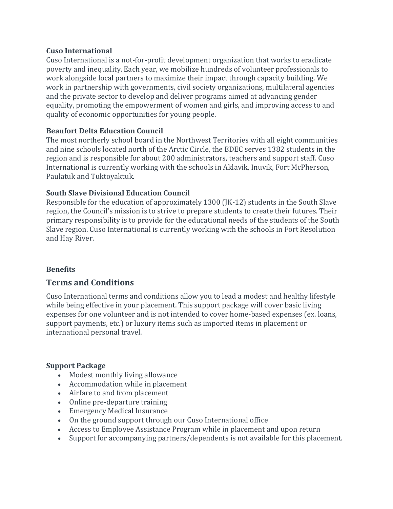#### **Cuso International**

Cuso International is a not-for-profit development organization that works to eradicate poverty and inequality. Each year, we mobilize hundreds of volunteer professionals to work alongside local partners to maximize their impact through capacity building. We work in partnership with governments, civil society organizations, multilateral agencies and the private sector to develop and deliver programs aimed at advancing gender equality, promoting the empowerment of women and girls, and improving access to and quality of economic opportunities for young people.

#### **Beaufort Delta Education Council**

The most northerly school board in the Northwest Territories with all eight communities and nine schools located north of the Arctic Circle, the BDEC serves 1382 students in the region and is responsible for about 200 administrators, teachers and support staff. Cuso International is currently working with the schools in Aklavik, Inuvik, Fort McPherson, Paulatuk and Tuktoyaktuk.

#### **South Slave Divisional Education Council**

Responsible for the education of approximately 1300 (JK-12) students in the South Slave region, the Council's mission is to strive to prepare students to create their futures. Their primary responsibility is to provide for the educational needs of the students of the South Slave region. Cuso International is currently working with the schools in Fort Resolution and Hay River.

#### **Benefits**

#### **Terms and Conditions**

Cuso International terms and conditions allow you to lead a modest and healthy lifestyle while being effective in your placement. This support package will cover basic living expenses for one volunteer and is not intended to cover home-based expenses (ex. loans, support payments, etc.) or luxury items such as imported items in placement or international personal travel.

#### **Support Package**

- Modest monthly living allowance
- Accommodation while in placement
- Airfare to and from placement
- Online pre-departure training
- Emergency Medical Insurance
- On the ground support through our Cuso International office
- Access to Employee Assistance Program while in placement and upon return
- Support for accompanying partners/dependents is not available for this placement.